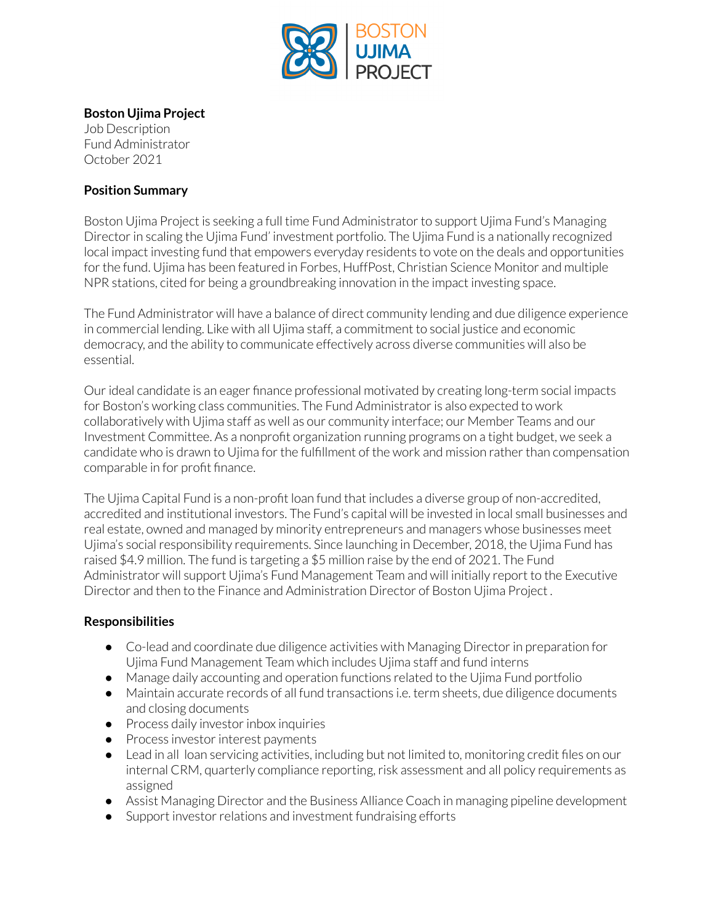

### **Boston Ujima Project**

Job Description Fund Administrator October 2021

#### **Position Summary**

Boston Ujima Project is seeking a full time Fund Administrator to support Ujima Fund's Managing Director in scaling the Ujima Fund' investment portfolio. The Ujima Fund is a nationally recognized local impact investing fund that empowers everyday residents to vote on the deals and opportunities forthe fund. Ujima has been featured in Forbes, HuffPost, Christian Science Monitor and multiple NPR stations, cited for being a groundbreaking innovation in the impact investing space.

The Fund Administrator will have a balance of direct community lending and due diligence experience in commercial lending. Like with all Ujima staff, a commitment to social justice and economic democracy, and the ability to communicate effectively across diverse communities will also be essential.

Ourideal candidate is an eager finance professional motivated by creating long-term social impacts for Boston's working class communities. The Fund Administrator is also expected to work collaboratively with Ujima staff as well as our community interface; our Member Teams and our Investment Committee. As a nonprofit organization running programs on a tight budget, we seek a candidate who is drawn to Ujima for the fulfillment of the work and mission rather than compensation comparable in for profit finance.

The Ujima Capital Fund is a non-profit loan fund that includes a diverse group of non-accredited, accredited and institutional investors. The Fund's capital will be invested in local small businesses and real estate, owned and managed by minority entrepreneurs and managers whose businesses meet Ujima's social responsibility requirements. Since launching in December, 2018, the Ujima Fund has raised \$4.9 million. The fund is targeting a \$5 million raise by the end of 2021. The Fund Administrator will support Ujima's Fund Management Team and will initially report to the Executive Director and then to the Finance and Administration Director of Boston Ujima Project .

#### **Responsibilities**

- Co-lead and coordinate due diligence activities with Managing Director in preparation for Ujima Fund Management Team which includes Ujima staff and fund interns
- Manage daily accounting and operation functions related to the Ujima Fund portfolio
- Maintain accurate records of all fund transactions i.e. term sheets, due diligence documents and closing documents
- Process daily investor inbox inquiries
- Process investor interest payments
- Lead in all loan servicing activities, including but not limited to, monitoring credit files on our internal CRM, quarterly compliance reporting, risk assessment and all policy requirements as assigned
- Assist Managing Director and the Business Alliance Coach in managing pipeline development
- Support investor relations and investment fundraising efforts